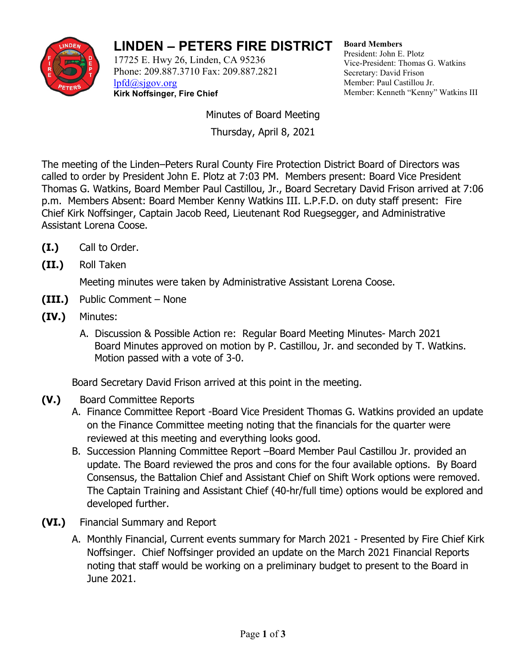

## **LINDEN – PETERS FIRE DISTRICT**

17725 E. Hwy 26, Linden, CA 95236 Phone: 209.887.3710 Fax: 209.887.2821 [lpfd@sjgov.org](mailto:lpfd@sjgov.org) **Kirk Noffsinger, Fire Chief**

**Board Members** President: John E. Plotz Vice-President: Thomas G. Watkins Secretary: David Frison Member: Paul Castillou Jr. Member: Kenneth "Kenny" Watkins III

Minutes of Board Meeting Thursday, April 8, 2021

The meeting of the Linden–Peters Rural County Fire Protection District Board of Directors was called to order by President John E. Plotz at 7:03 PM. Members present: Board Vice President Thomas G. Watkins, Board Member Paul Castillou, Jr., Board Secretary David Frison arrived at 7:06 p.m. Members Absent: Board Member Kenny Watkins III. L.P.F.D. on duty staff present: Fire Chief Kirk Noffsinger, Captain Jacob Reed, Lieutenant Rod Ruegsegger, and Administrative Assistant Lorena Coose.

- **(I.)** Call to Order.
- **(II.)** Roll Taken

Meeting minutes were taken by Administrative Assistant Lorena Coose.

- **(III.)** Public Comment None
- **(IV.)** Minutes:
	- A. Discussion & Possible Action re: Regular Board Meeting Minutes- March 2021 Board Minutes approved on motion by P. Castillou, Jr. and seconded by T. Watkins. Motion passed with a vote of 3-0.

Board Secretary David Frison arrived at this point in the meeting.

- **(V.)** Board Committee Reports
	- A. Finance Committee Report -Board Vice President Thomas G. Watkins provided an update on the Finance Committee meeting noting that the financials for the quarter were reviewed at this meeting and everything looks good.
	- B. Succession Planning Committee Report –Board Member Paul Castillou Jr. provided an update. The Board reviewed the pros and cons for the four available options. By Board Consensus, the Battalion Chief and Assistant Chief on Shift Work options were removed. The Captain Training and Assistant Chief (40-hr/full time) options would be explored and developed further.
- **(VI.)** Financial Summary and Report
	- A. Monthly Financial, Current events summary for March 2021 Presented by Fire Chief Kirk Noffsinger. Chief Noffsinger provided an update on the March 2021 Financial Reports noting that staff would be working on a preliminary budget to present to the Board in June 2021.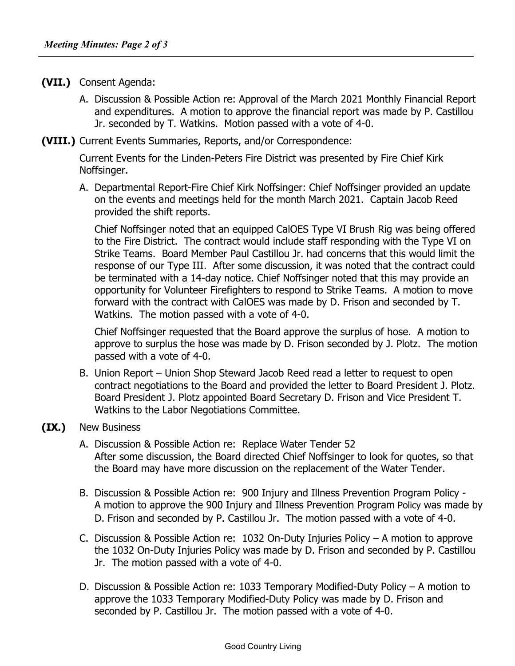- **(VII.)** Consent Agenda:
	- A. Discussion & Possible Action re: Approval of the March 2021 Monthly Financial Report and expenditures. A motion to approve the financial report was made by P. Castillou Jr. seconded by T. Watkins. Motion passed with a vote of 4-0.
- **(VIII.)** Current Events Summaries, Reports, and/or Correspondence:

Current Events for the Linden-Peters Fire District was presented by Fire Chief Kirk Noffsinger.

A. Departmental Report-Fire Chief Kirk Noffsinger: Chief Noffsinger provided an update on the events and meetings held for the month March 2021. Captain Jacob Reed provided the shift reports.

Chief Noffsinger noted that an equipped CalOES Type VI Brush Rig was being offered to the Fire District. The contract would include staff responding with the Type VI on Strike Teams. Board Member Paul Castillou Jr. had concerns that this would limit the response of our Type III. After some discussion, it was noted that the contract could be terminated with a 14-day notice. Chief Noffsinger noted that this may provide an opportunity for Volunteer Firefighters to respond to Strike Teams. A motion to move forward with the contract with CalOES was made by D. Frison and seconded by T. Watkins. The motion passed with a vote of 4-0.

Chief Noffsinger requested that the Board approve the surplus of hose. A motion to approve to surplus the hose was made by D. Frison seconded by J. Plotz. The motion passed with a vote of 4-0.

- B. Union Report Union Shop Steward Jacob Reed read a letter to request to open contract negotiations to the Board and provided the letter to Board President J. Plotz. Board President J. Plotz appointed Board Secretary D. Frison and Vice President T. Watkins to the Labor Negotiations Committee.
- **(IX.)** New Business
	- A. Discussion & Possible Action re: Replace Water Tender 52 After some discussion, the Board directed Chief Noffsinger to look for quotes, so that the Board may have more discussion on the replacement of the Water Tender.
	- B. Discussion & Possible Action re: 900 Injury and Illness Prevention Program Policy A motion to approve the 900 Injury and Illness Prevention Program Policy was made by D. Frison and seconded by P. Castillou Jr. The motion passed with a vote of 4-0.
	- C. Discussion & Possible Action re: 1032 On-Duty Injuries Policy A motion to approve the 1032 On-Duty Injuries Policy was made by D. Frison and seconded by P. Castillou Jr. The motion passed with a vote of 4-0.
	- D. Discussion & Possible Action re: 1033 Temporary Modified-Duty Policy A motion to approve the 1033 Temporary Modified-Duty Policy was made by D. Frison and seconded by P. Castillou Jr. The motion passed with a vote of 4-0.